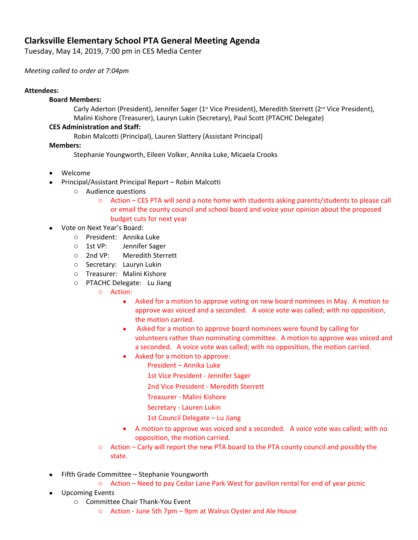# **Clarksville Elementary School PTA General Meeting Agenda**

Tuesday, May 14, 2019, 7:00 pm in CES Media Center

*Meeting called to order at 7:04pm*

## **Attendees:**

#### **Board Members:**

Carly Aderton (President), Jennifer Sager (1<sup>st</sup> Vice President), Meredith Sterrett (2<sup>nd</sup> Vice President), Malini Kishore (Treasurer), Lauryn Lukin (Secretary), Paul Scott (PTACHC Delegate)

## **CES Administration and Staff:**

Robin Malcotti (Principal), Lauren Slattery (Assistant Principal)

## **Members:**

Stephanie Youngworth, Eileen Volker, Annika Luke, Micaela Crooks

- Welcome
- Principal/Assistant Principal Report Robin Malcotti
	- o Audience questions
		- o Action CES PTA will send a note home with students asking parents/students to please call or email the county council and school board and voice your opinion about the proposed budget cuts for next year
- Vote on Next Year's Board:
	- o President: Annika Luke
	- o 1st VP: Jennifer Sager
	- o 2nd VP: Meredith Sterrett
	- o Secretary: Lauryn Lukin
	- o Treasurer: Malini Kishore
	- o PTACHC Delegate: Lu Jiang
		- o Action:
			- Asked for a motion to approve voting on new board nominees in May. A motion to approve was voiced and a seconded. A voice vote was called; with no opposition, the motion carried.
			- Asked for a motion to approve board nominees were found by calling for volunteers rather than nominating committee. A motion to approve was voiced and a seconded. A voice vote was called; with no opposition, the motion carried.
			- Asked for a motion to approve:
				- President Annika Luke
					- 1st Vice President Jennifer Sager
					- 2nd Vice President Meredith Sterrett
					- Treasurer Malini Kishore
					- Secretary Lauren Lukin
					- 1st Council Delegate Lu Jiang
			- A motion to approve was voiced and a seconded. A voice vote was called; with no opposition, the motion carried.
		- o Action Carly will report the new PTA board to the PTA county council and possibly the state.
- Fifth Grade Committee Stephanie Youngworth
	- o Action Need to pay Cedar Lane Park West for pavilion rental for end of year picnic
- Upcoming Events
	- o Committee Chair Thank-You Event
		- o Action June 5th 7pm 9pm at Walrus Oyster and Ale House